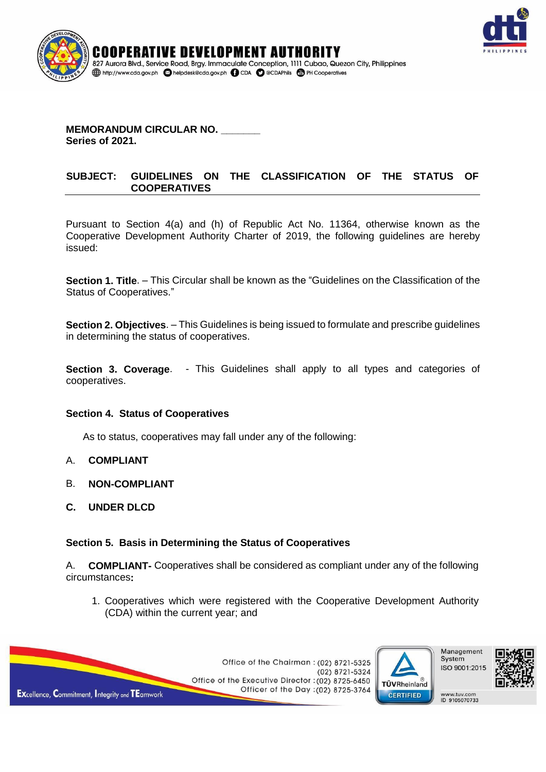



**MEMORANDUM CIRCULAR NO. Series of 2021.**

### **SUBJECT: GUIDELINES ON THE CLASSIFICATION OF THE STATUS OF COOPERATIVES**

Pursuant to Section 4(a) and (h) of Republic Act No. 11364, otherwise known as the Cooperative Development Authority Charter of 2019, the following guidelines are hereby issued:

**Section 1. Title**. – This Circular shall be known as the "Guidelines on the Classification of the Status of Cooperatives."

**Section 2. Objectives**. – This Guidelines is being issued to formulate and prescribe guidelines in determining the status of cooperatives.

**Section 3. Coverage.** - This Guidelines shall apply to all types and categories of cooperatives.

#### **Section 4. Status of Cooperatives**

As to status, cooperatives may fall under any of the following:

- A. **COMPLIANT**
- B. **NON-COMPLIANT**
- **C. UNDER DLCD**

#### **Section 5. Basis in Determining the Status of Cooperatives**

A. **COMPLIANT-** Cooperatives shall be considered as compliant under any of the following circumstances**:**

1. Cooperatives which were registered with the Cooperative Development Authority (CDA) within the current year; and







www.tuv.com<br>ID 9105070733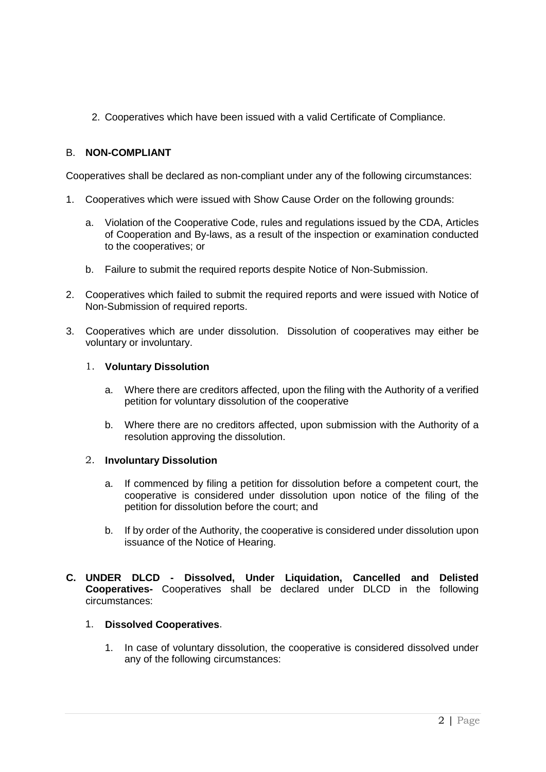2. Cooperatives which have been issued with a valid Certificate of Compliance.

# B. **NON-COMPLIANT**

Cooperatives shall be declared as non-compliant under any of the following circumstances:

- 1. Cooperatives which were issued with Show Cause Order on the following grounds:
	- a. Violation of the Cooperative Code, rules and regulations issued by the CDA, Articles of Cooperation and By-laws, as a result of the inspection or examination conducted to the cooperatives; or
	- b. Failure to submit the required reports despite Notice of Non-Submission.
- 2. Cooperatives which failed to submit the required reports and were issued with Notice of Non-Submission of required reports.
- 3. Cooperatives which are under dissolution. Dissolution of cooperatives may either be voluntary or involuntary.

### 1. **Voluntary Dissolution**

- a. Where there are creditors affected, upon the filing with the Authority of a verified petition for voluntary dissolution of the cooperative
- b. Where there are no creditors affected, upon submission with the Authority of a resolution approving the dissolution.

## 2. **Involuntary Dissolution**

- a. If commenced by filing a petition for dissolution before a competent court, the cooperative is considered under dissolution upon notice of the filing of the petition for dissolution before the court; and
- b. If by order of the Authority, the cooperative is considered under dissolution upon issuance of the Notice of Hearing.
- **C. UNDER DLCD - Dissolved, Under Liquidation, Cancelled and Delisted Cooperatives-** Cooperatives shall be declared under DLCD in the following circumstances:

## 1. **Dissolved Cooperatives**.

1. In case of voluntary dissolution, the cooperative is considered dissolved under any of the following circumstances: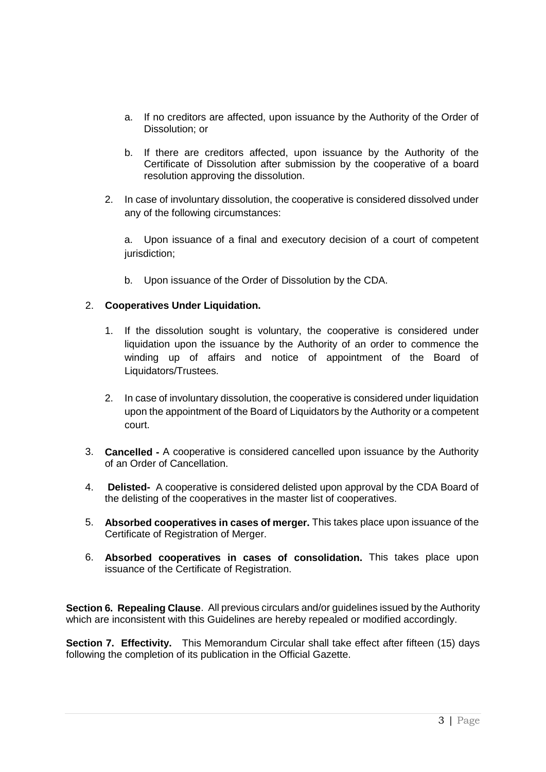- a. If no creditors are affected, upon issuance by the Authority of the Order of Dissolution; or
- b. If there are creditors affected, upon issuance by the Authority of the Certificate of Dissolution after submission by the cooperative of a board resolution approving the dissolution.
- 2. In case of involuntary dissolution, the cooperative is considered dissolved under any of the following circumstances:

a. Upon issuance of a final and executory decision of a court of competent jurisdiction;

b. Upon issuance of the Order of Dissolution by the CDA.

## 2. **Cooperatives Under Liquidation.**

- 1. If the dissolution sought is voluntary, the cooperative is considered under liquidation upon the issuance by the Authority of an order to commence the winding up of affairs and notice of appointment of the Board of Liquidators/Trustees.
- 2. In case of involuntary dissolution, the cooperative is considered under liquidation upon the appointment of the Board of Liquidators by the Authority or a competent court.
- 3. **Cancelled -** A cooperative is considered cancelled upon issuance by the Authority of an Order of Cancellation.
- 4. **Delisted-** A cooperative is considered delisted upon approval by the CDA Board of the delisting of the cooperatives in the master list of cooperatives.
- 5. **Absorbed cooperatives in cases of merger.** This takes place upon issuance of the Certificate of Registration of Merger.
- 6. **Absorbed cooperatives in cases of consolidation.** This takes place upon issuance of the Certificate of Registration.

**Section 6. Repealing Clause**. All previous circulars and/or guidelines issued by the Authority which are inconsistent with this Guidelines are hereby repealed or modified accordingly.

**Section 7. Effectivity.** This Memorandum Circular shall take effect after fifteen (15) days following the completion of its publication in the Official Gazette.